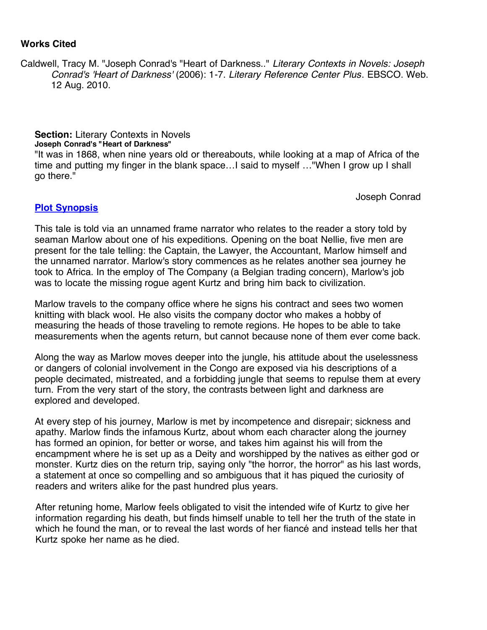#### **Works Cited**

Caldwell, Tracy M. "Joseph Conrad's "Heart of Darkness.." *Literary Contexts in Novels: Joseph Conrad's 'Heart of Darkness'* (2006): 1-7. *Literary Reference Center Plus*. EBSCO. Web. 12 Aug. 2010.

# **Section: Literary Contexts in Novels**

**Joseph Conrad's "Heart of Darkness"** 

"It was in 1868, when nine years old or thereabouts, while looking at a map of Africa of the time and putting my finger in the blank space…I said to myself …"When I grow up I shall go there."

Joseph Conrad

#### **Plot Synopsis**

[This tale is told via an unnamed frame narrator who relates to the reader a sto](http://search.ebscohost.com/login.aspx?direct=true&db=lkh&AN=18908218&site=lrc-plus)ry told by seaman Marlow about one of his expeditions. Opening on the boat Nellie, five men are present for the tale telling: the Captain, the Lawyer, the Accountant, Marlow himself and the unnamed narrator. Marlow's story commences as he relates another sea journey he took to Africa. In the employ of The Company (a Belgian trading concern), Marlow's job was to locate the missing rogue agent Kurtz and bring him back to civilization.

Marlow travels to the company office where he signs his contract and sees two women knitting with black wool. He also visits the company doctor who makes a hobby of measuring the heads of those traveling to remote regions. He hopes to be able to take measurements when the agents return, but cannot because none of them ever come back.

[Along the way a](http://web.ebscohost.com/lrc/delivery?vid=3&hid=8&sid=72e02b41-66cf-4ce5-89ff-96d7354f0fde%40sessionmgr11#toc)s Marlow moves deeper into the jungle, his attitude about the uselessness or dangers of colonial involvement in the Congo are exposed via his descriptions of a people decimated, mistreated, and a forbidding jungle that seems to repulse them at every turn. From the very start of the story, the contrasts between light and darkness are explored and developed.

At every step of his journey, Marlow is met by incompetence and disrepair; sickness and apathy. Marlow finds the infamous Kurtz, about whom each character along the journey has formed an opinion, for better or worse, and takes him against his will from the encampment where he is set up as a Deity and worshipped by the natives as either god or monster. Kurtz dies on the return trip, saying only "the horror, the horror" as his last words, a statement at once so compelling and so ambiguous that it has piqued the curiosity of readers and writers alike for the past hundred plus years.

After retuning home, Marlow feels obligated to visit the intended wife of Kurtz to give her information regarding his death, but finds himself unable to tell her the truth of the state in which he found the man, or to reveal the last words of her fiancé and instead tells her that Kurtz spoke her name as he died.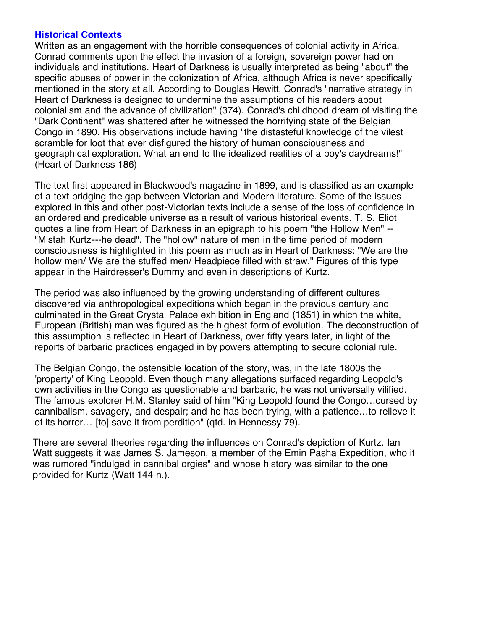#### **Historical Contexts**

Written as an engagement with the horrible consequences of colonial activity in Africa, Conrad comments upon the effect the invasion of a foreign, sovereign power had on individuals and institutions. Heart of Darkness is usually interpreted as being "about" the specific abuses of power in the colonization of Africa, although Africa is never specifically mentioned in the story at all. According to Douglas Hewitt, Conrad's "narrative strategy in Heart of Darkness is designed to undermine the assumptions of his readers about colonialism and the advance of civilization" (374). Conrad's childhood dream of visiting the "Dark Continent" was shattered after he witnessed the horrifying state of the Belgian Congo in 1890. His observations include having "the distasteful knowledge of the vilest scramble for loot that ever disfigured the history of human consciousness and geographical exploration. What an end to the idealized realities of a boy's daydreams!" [\(Heart of Darkness 1](http://web.ebscohost.com/lrc/delivery?vid=3&hid=8&sid=72e02b41-66cf-4ce5-89ff-96d7354f0fde%40sessionmgr11#toc)86)

The text first appeared in Blackwood's magazine in 1899, and is classified as an example of a text bridging the gap between Victorian and Modern literature. Some of the issues explored in this and other post-Victorian texts include a sense of the loss of confidence in an ordered and predicable universe as a result of various historical events. T. S. Eliot quotes a line from Heart of Darkness in an epigraph to his poem "the Hollow Men" -- "Mistah Kurtz---he dead". The "hollow" nature of men in the time period of modern consciousness is highlighted in this poem as much as in Heart of Darkness: "We are the hollow men/ We are the stuffed men/ Headpiece filled with straw." Figures of this type appear in the Hairdresser's Dummy and even in descriptions of Kurtz.

The period was also influenced by the growing understanding of different cultures discovered via anthropological expeditions which began in the previous century and culminated in the Great Crystal Palace exhibition in England (1851) in which the white, European (British) man was figured as the highest form of evolution. The deconstruction of this assumption is reflected in Heart of Darkness, over fifty years later, in light of the reports of barbaric practices engaged in by powers attempting to secure colonial rule.

The Belgian Congo, the ostensible location of the story, was, in the late 1800s the 'property' of King Leopold. Even though many allegations surfaced regarding Leopold's own activities in the Congo as questionable and barbaric, he was not universally vilified. The famous explorer H.M. Stanley said of him "King Leopold found the Congo…cursed by cannibalism, savagery, and despair; and he has been trying, with a patience…to relieve it of its horror… [to] save it from perdition" (qtd. in Hennessy 79).

There are several theories regarding the influences on Conrad's depiction of Kurtz. Ian Watt suggests it was James S. Jameson, a member of the Emin Pasha Expedition, who it was rumored "indulged in cannibal orgies" and whose history was similar to the one provided for Kurtz (Watt 144 n.).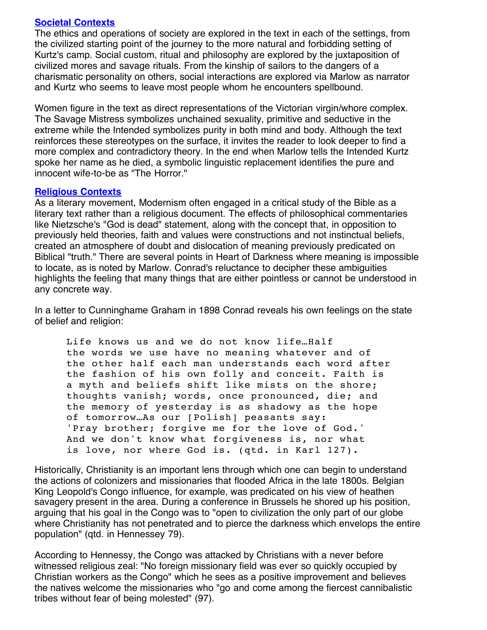### **Societal Contexts**

The ethics and operations of society are explored in the text in each of the settings, from the civilized starting point of the journey to the more natural and forbidding setting of Kurtz's camp. Social custom, ritual and philosophy are explored by the juxtaposition of civilized mores and savage rituals. From the kinship of sailors to the dangers of a charismatic personality on others, social interactions are explored via Marlow as narrator [and Kurtz who seem](http://web.ebscohost.com/lrc/delivery?vid=3&hid=8&sid=72e02b41-66cf-4ce5-89ff-96d7354f0fde%40sessionmgr11#toc)s to leave most people whom he encounters spellbound.

Women figure in the text as direct representations of the Victorian virgin/whore complex. The Savage Mistress symbolizes unchained sexuality, primitive and seductive in the extreme while the Intended symbolizes purity in both mind and body. Although the text reinforces these stereotypes on the surface, it invites the reader to look deeper to find a more complex and contradictory theory. In the end when Marlow tells the Intended Kurtz spoke her name as he died, a symbolic linguistic replacement identifies the pure and innocent wife-to-be as "The Horror."

#### **Religious Contexts**

As a literary movement, Modernism often engaged in a critical study of the Bible as a literary text rather than a religious document. The effects of philosophical commentaries like Nietzsche's "God is dead" statement, along with the concept that, in opposition to previously held theories, faith and values were constructions and not instinctual beliefs, created an atmosphere of doubt and dislocation of meaning previously predicated on Biblical "truth." There are several points in Heart of Darkness where meaning is impossible [to locate, as is noted](http://web.ebscohost.com/lrc/delivery?vid=3&hid=8&sid=72e02b41-66cf-4ce5-89ff-96d7354f0fde%40sessionmgr11#toc) by Marlow. Conrad's reluctance to decipher these ambiguities highlights the feeling that many things that are either pointless or cannot be understood in any concrete way.

In a letter to Cunninghame Graham in 1898 Conrad reveals his own feelings on the state of belief and religion:

 Life knows us and we do not know life…Half the words we use have no meaning whatever and of the other half each man understands each word after the fashion of his own folly and conceit. Faith is a myth and beliefs shift like mists on the shore; thoughts vanish; words, once pronounced, die; and the memory of yesterday is as shadowy as the hope of tomorrow…As our [Polish] peasants say: 'Pray brother; forgive me for the love of God.' And we don't know what forgiveness is, nor what is love, nor where God is. (qtd. in Karl 127).

Historically, Christianity is an important lens through which one can begin to understand the actions of colonizers and missionaries that flooded Africa in the late 1800s. Belgian King Leopold's Congo influence, for example, was predicated on his view of heathen savagery present in the area. During a conference in Brussels he shored up his position, arguing that his goal in the Congo was to "open to civilization the only part of our globe where Christianity has not penetrated and to pierce the darkness which envelops the entire population" (qtd. in Hennessey 79).

According to Hennessy, the Congo was attacked by Christians with a never before witnessed religious zeal: "No foreign missionary field was ever so quickly occupied by Christian workers as the Congo" which he sees as a positive improvement and believes the natives welcome the missionaries who "go and come among the fiercest cannibalistic tribes without fear of being molested" (97).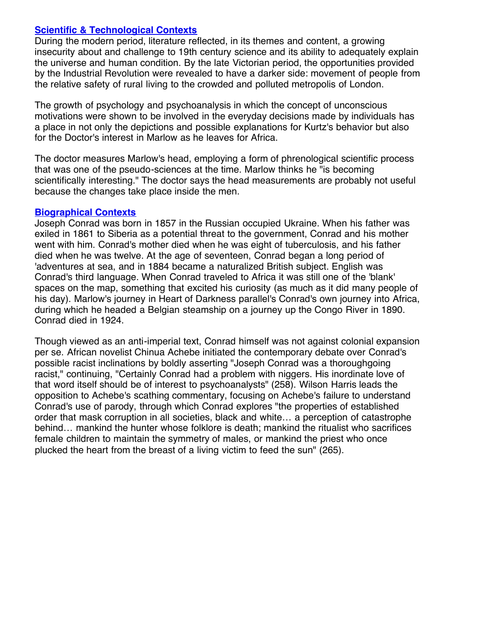### **Scientific & Technological Contexts**

During the modern period, literature reflected, in its themes and content, a growing insecurity about and challenge to 19th century science and its ability to adequately explain the universe and human condition. By the late Victorian period, the opportunities provided by the Industrial Revolution were revealed to have a darker side: movement of people from the relative safety of rural living to the crowded and polluted metropolis of London.

The growth of psychology and psychoanalysis in which the concept of unconscious motivations were shown to be involved in the everyday decisions made by individuals has a place in not only the depictions and possible explanations for Kurtz's behavior but also for the Doctor's interest in Marlow as he leaves for Africa.

[The doctor measures Marlow's head, e](http://web.ebscohost.com/lrc/delivery?vid=3&hid=8&sid=72e02b41-66cf-4ce5-89ff-96d7354f0fde%40sessionmgr11#toc)mploying a form of phrenological scientific process that was one of the pseudo-sciences at the time. Marlow thinks he "is becoming scientifically interesting." The doctor says the head measurements are probably not useful because the changes take place inside the men.

#### **Biographical Contexts**

Joseph Conrad was born in 1857 in the Russian occupied Ukraine. When his father was exiled in 1861 to Siberia as a potential threat to the government, Conrad and his mother went with him. Conrad's mother died when he was eight of tuberculosis, and his father died when he was twelve. At the age of seventeen, Conrad began a long period of 'adventures at sea, and in 1884 became a naturalized British subject. English was Conrad's third language. When Conrad traveled to Africa it was still one of the 'blank' spaces on the map, something that excited his curiosity (as much as it did many people of his day). Marlow's journey in Heart of Darkness parallel's Conrad's own journey into Africa, during which he headed a Belgian steamship on a journey up the Congo River in 1890. Conrad died in 1924.

[Though viewed as an an](http://web.ebscohost.com/lrc/delivery?vid=3&hid=8&sid=72e02b41-66cf-4ce5-89ff-96d7354f0fde%40sessionmgr11#toc)ti-imperial text, Conrad himself was not against colonial expansion per se. African novelist Chinua Achebe initiated the contemporary debate over Conrad's possible racist inclinations by boldly asserting "Joseph Conrad was a thoroughgoing racist," continuing, "Certainly Conrad had a problem with niggers. His inordinate love of that word itself should be of interest to psychoanalysts" (258). Wilson Harris leads the opposition to Achebe's scathing commentary, focusing on Achebe's failure to understand Conrad's use of parody, through which Conrad explores "the properties of established order that mask corruption in all societies, black and white… a perception of catastrophe behind… mankind the hunter whose folklore is death; mankind the ritualist who sacrifices female children to maintain the symmetry of males, or mankind the priest who once plucked the heart from the breast of a living victim to feed the sun" (265).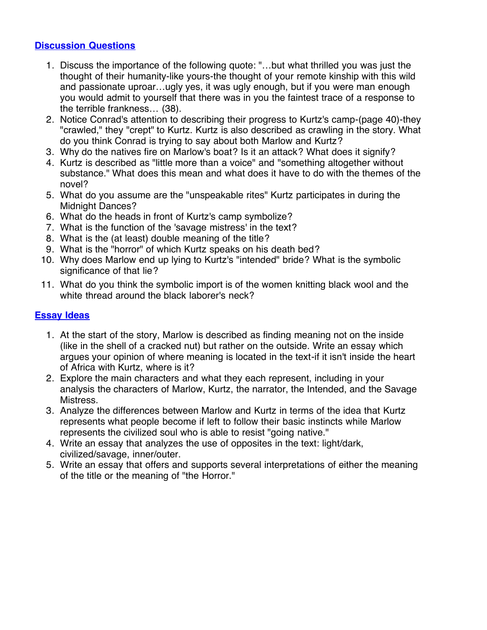## **Discussion Questions**

- 1. Discuss the importance of the following quote: "…but what thrilled you was just the thought of their humanity-like yours-the thought of your remote kinship with this wild and passionate uproar…ugly yes, it was ugly enough, but if you were man enough you would admit to yourself that there was in you the faintest trace of a response to the terrible frankness… (38).
- 2. Notice Conrad's attention to describing their progress to Kurtz's camp-(page 40)-they "crawled," they "crept" to Kurtz. Kurtz is also described as crawling in the story. What do you think Conrad is trying to say about both Marlow and Kurtz?
- 3. Why do the natives fire on Marlow's boat? Is it an attack? What does it signify?
- 4. Kurtz is described as "little more than a voice" and "something altogether without substance." What does this mean and what does it have to do with the themes of the novel?
- 5. What do you assume are the "unspeakable rites" Kurtz participates in during the Midnight Dances?
- 6. What do the heads in front of Kurtz's camp symbolize?
- 7. What is the function of the 'savage mistress' in the text?
- 8. What is the (at least) double meaning of the title?
- 9. What is the "horror" of which Kurtz speaks on his death bed?
- 10. Why does Marlow end up lying to Kurtz's "intended" bride? What is the symbolic significance of that lie?
- 11. What do you think the symbolic import is of the women knitting black wool and the white thread around the black laborer's neck?

# **Essay Ideas**

- [1. At the start of the](http://web.ebscohost.com/lrc/delivery?vid=3&hid=8&sid=72e02b41-66cf-4ce5-89ff-96d7354f0fde%40sessionmgr11#toc) story, Marlow is described as finding meaning not on the inside (like in the shell of a cracked nut) but rather on the outside. Write an essay which argues your opinion of where meaning is located in the text-if it isn't inside the heart of Africa with Kurtz, where is it?
- 2. Explore the main characters and what they each represent, including in your analysis the characters of Marlow, Kurtz, the narrator, the Intended, and the Savage Mistress.
- 3. Analyze the differences between Marlow and Kurtz in terms of the idea that Kurtz represents what people become if left to follow their basic instincts while Marlow represents the civilized soul who is able to resist "going native."
- 4. Write an essay that analyzes the use of opposites in the text: light/dark, civilized/savage, inner/outer.
- 5. Write an essay that offers and supports several interpretations of either the meaning of the title or the meaning of "the Horror."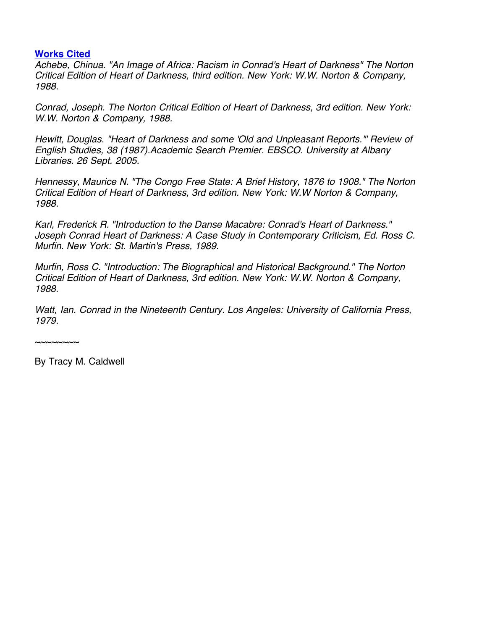#### **Works Cited**

*[Achebe, Chin](http://web.ebscohost.com/lrc/delivery?vid=3&hid=8&sid=72e02b41-66cf-4ce5-89ff-96d7354f0fde%40sessionmgr11#toc)ua. "An Image of Africa: Racism in Conrad's Heart of Darkness" The Norton Critical Edition of Heart of Darkness, third edition. New York: W.W. Norton & Company, 1988.*

*Conrad, Joseph. The Norton Critical Edition of Heart of Darkness, 3rd edition. New York: W.W. Norton & Company, 1988.*

*Hewitt, Douglas. "Heart of Darkness and some 'Old and Unpleasant Reports.'" Review of English Studies, 38 (1987).Academic Search Premier. EBSCO. University at Albany Libraries. 26 Sept. 2005.*

*Hennessy, Maurice N. "The Congo Free State: A Brief History, 1876 to 1908." The Norton Critical Edition of Heart of Darkness, 3rd edition. New York: W.W Norton & Company, 1988.*

*Karl, Frederick R. "Introduction to the Danse Macabre: Conrad's Heart of Darkness." Joseph Conrad Heart of Darkness: A Case Study in Contemporary Criticism, Ed. Ross C. [Murfin. New Y](http://web.ebscohost.com/lrc/delivery?vid=3&hid=8&sid=72e02b41-66cf-4ce5-89ff-96d7354f0fde%40sessionmgr11#toc)ork: St. Martin's Press, 1989.*

*Murfin, Ross C. "Introduction: The Biographical and Historical Background." The Norton Critical Edition of Heart of Darkness, 3rd edition. New York: W.W. Norton & Company, 1988.*

*Watt, Ian. Conrad in the Nineteenth Century. Los Angeles: University of California Press, 1979.*

By Tracy M. Caldwell

 $\sim$ ~~~~~~